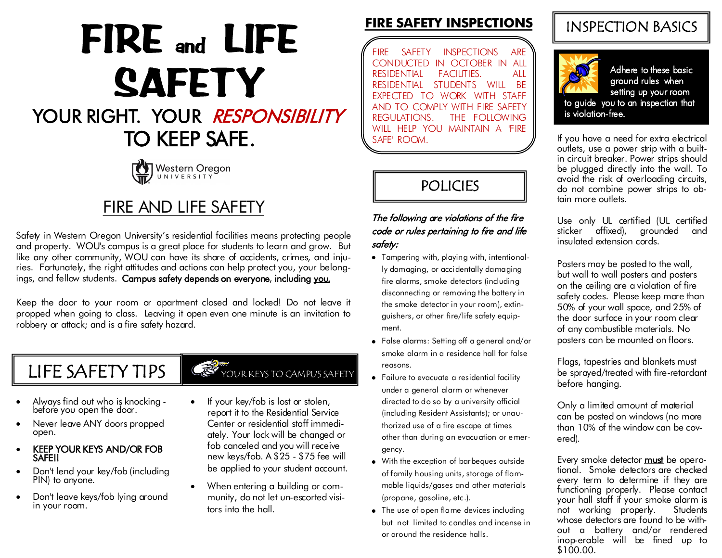# FIRE and LIFE **SAFETY**

# YOUR RIGHT. YOUR RESPONSIBILITY TO KEEP SAFE.



# FIRE AND LIFE SAFETY

Safety in Western Oregon University's residential facilities means protecting people and property. WOU's campus is a great place for students to learn and grow. But like any other community, WOU can have its share of accidents, crimes, and injuries. Fortunately, the right attitudes and actions can help protect you, your belongings, and fellow students. Campus safety depends on everyone, including you.

Keep the door to your room or apartment closed and locked! Do not leave it propped when going to class. Leaving it open even one minute is an invitation to robbery or attack; and is a fire safety hazard.

# LIFE SAFETY TIPS  $\mathbb{C}^3$

- Always find out who is knocking before you open the door.
- Never leave ANY doors propped open.
- KEEP YOUR KEYS AND/OR FOB **SAFE!!**
- Don't lend your key/fob (including PIN) to anyone.
- Don't leave keys/fob lying around in your room.

## 

- If your key/fob is lost or stolen, report it to the Residential Service Center or residential staff immediately. Your lock will be changed or fob canceled and you will receive new keys/fob. A \$25 - \$75 fee will be applied to your student account.
- When entering a building or community, do not let un-escorted visitors into the hall.

## **FIRE SAFETY INSPECTIONS**

FIRE SAFETY INSPECTIONS ARE CONDUCTED IN OCTOBER IN ALL RESIDENTIAL FACILITIES. ALL RESIDENTIAL STUDENTS WILL BE EXPECTED TO WORK WITH STAFF AND TO COMPLY WITH FIRE SAFETY<br>REGULATIONS. THE FOLLOWING THE FOLLOWING WILL HELP YOU MAINTAIN A "FIRE SAFE" ROOM.

## POLICIES

#### The following are violations of the fire code or rules pertaining to fire and life safety:

- Tampering with, playing with, intentionally damaging, or accidentally damaging fire alarms, smoke detectors (including disconnecting or removing the battery in the smoke detector in your room), extinguishers, or other fire/life safety equipment.
- False alarms: Setting off a general and/or smoke alarm in a residence hall for false reasons
- Failure to evacuate a residential facility under a general alarm or whenever directed to do so by a university official (including Resident Assistants); or unauthorized use of a fire escape at times other than during an evacuation or emergency.
- With the exception of barbeques outside of family housing units, storage of flammable liquids/gases and other materials (propane, gasoline, etc.).
- The use of open flame devices including but not limited to candles and incense in or around the residence halls.

## INSPECTION BASICS



Adhere to these basic ground rules when setting up your room to guide you to an inspection that

If you have a need for extra electrical outlets, use a power strip with a builtin circuit breaker. Power strips should be plugged directly into the wall. To avoid the risk of overloading circuits, do not combine power strips to obtain more outlets.

Use only UL certified (UL certified sticker affixed), grounded and insulated extension cords.

Posters may be posted to the wall, but wall to wall posters and posters on the ceiling are a violation of fire safety codes. Please keep more than 50% of your wall space, and 25% of the door surface in your room clear of any combustible materials. No posters can be mounted on floors.

Flags, tapestries and blankets must be sprayed/treated with fire-retardant before hanging.

Only a limited amount of material can be posted on windows (no more than 10% of the window can be covered).

Every smoke detector **must** be operational. Smoke detectors are checked every term to determine if they are functioning properly. Please contact your hall staff if your smoke alarm is not working properly. Students whose detectors are found to be without a battery and/or rendered inop-erable will be fined up to \$100.00.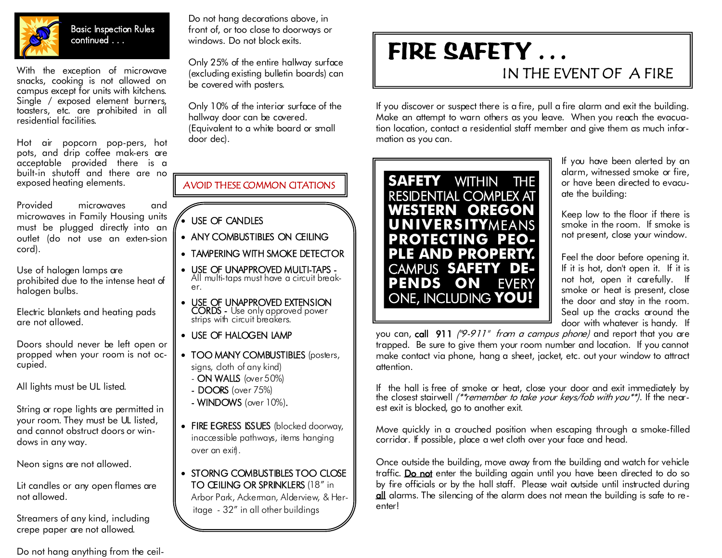

Basic Inspection Rules continued . . .

With the exception of microwave snacks, cooking is not allowed on campus except for units with kitchens. Single / exposed element burners, toasters, etc. are prohibited in all residential facilities.

Hot air popcorn pop-pers, hot pots, and drip coffee mak-ers are acceptable provided there is a built-in shutoff and there are no exposed heating elements.

Provided microwaves and microwaves in Family Housing units must be plugged directly into an outlet (do not use an exten-sion cord).

Use of halogen lamps are prohibited due to the intense heat of halogen bulbs.

Electric blankets and heating pads are not allowed.

Doors should never be left open or propped when your room is not occupied.

All lights must be UL listed.

String or rope lights are permitted in your room. They must be UL listed, and cannot obstruct doors or windows in any way.

Neon signs are not allowed.

Lit candles or any open flames are not allowed.

Streamers of any kind, including crepe paper are not allowed.

#### Do not hang anything from the ceil-

Do not hang decorations above, in front of, or too close to doorways or windows. Do not block exits.

Only 25% of the entire hallway surface (excluding existing bulletin boards) can be covered with posters.

Only 10% of the interior surface of the hallway door can be covered. (Equivalent to a white board or small door dec).

AVOID THESE COMMON CITATIONS

- USE OF CANDLES
- ANY COMBUSTIBLES ON CEILING
- TAMPERING WITH SMOKE DETECTOR
- USE OF UNAPPROVED MULTI-TAPS All multi-taps must have a circuit breaker.
- USE OF UNAPPROVED EXTENSION CORDS - Use only approved power strips with circuit breakers.
- USE OF HALOGEN LAMP
- TOO MANY COMBUSTIBLES (posters, signs, cloth of any kind)
	- ON WALLS (over 50%)
	- DOORS (over 75%)
	- WINDOWS (over 10%).
- FIRE EGRESS ISSUES (blocked doorway, inaccessible pathways, items hanging over an exit).
- STORNG COMBUSTIBLES TOO CLOSE TO CEILING OR SPRINKLERS (18" in

Arbor Park, Ackerman, Alderview, & Heritage - 32" in all other buildings

# FIRE SAFETY ... IN THE EVENT OF A FIRE

If you discover or suspect there is a fire, pull a fire alarm and exit the building. Make an attempt to warn others as you leave. When you reach the evacuation location, contact a residential staff member and give them as much information as you can.



If you have been alerted by an alarm, witnessed smoke or fire, or have been directed to evacuate the building:

Keep low to the floor if there is smoke in the room. If smoke is not present, close your window.

Feel the door before opening it. If it is hot, don't open it. If it is not hot, open it carefully. If smoke or heat is present, close the door and stay in the room. Seal up the cracks around the door with whatever is handy. If

you can, call 911 ("9-911" from a campus phone) and report that you are trapped. Be sure to give them your room number and location. If you cannot make contact via phone, hang a sheet, jacket, etc. out your window to attract attention.

If the hall is free of smoke or heat, close your door and exit immediately by the closest stairwell (\*\*remember to take your keys/fob with you\*\*). If the nearest exit is blocked, go to another exit.

Move quickly in a crouched position when escaping through a smoke-filled corridor. If possible, place a wet cloth over your face and head.

Once outside the building, move away from the building and watch for vehicle traffic. Do not enter the building again until you have been directed to do so by fire officials or by the hall staff. Please wait outside until instructed during  $\frac{d}{d}$  alarms. The silencing of the alarm does not mean the building is safe to reenter!